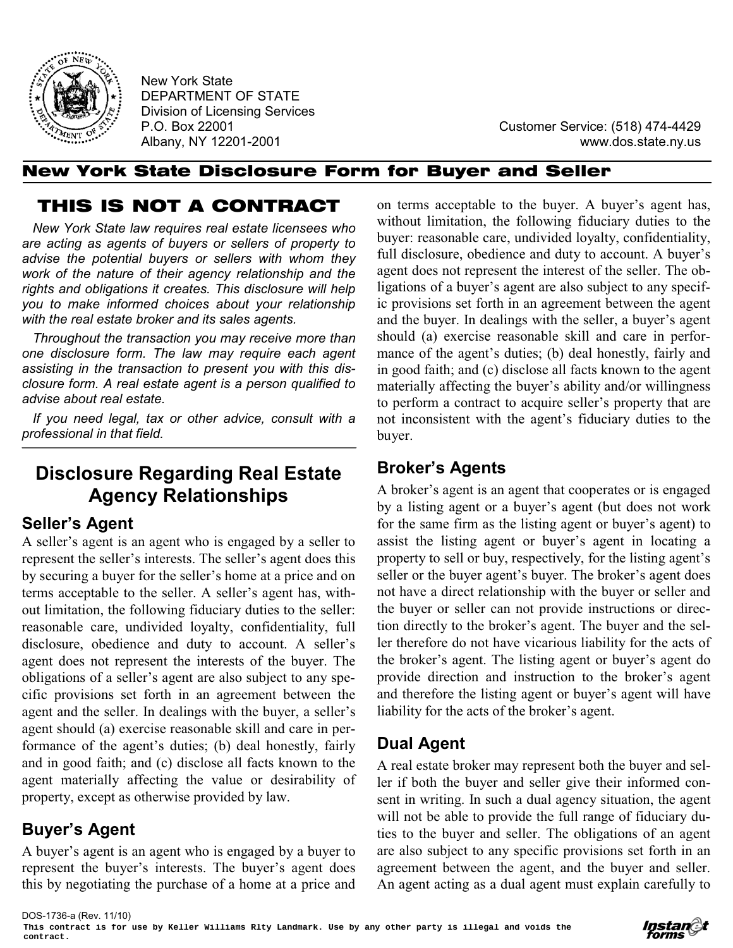

New York State DEPARTMENT OF STATE Division of Licensing Services

P.O. Box 22001 Customer Service: (518) 474-4429 Albany, NY 12201-2001 www.dos.state.ny.us

#### New York State Disclosure Form for Buyer and Seller

# THIS IS NOT A CONTRACT

*New York State law requires real estate licensees who are acting as agents of buyers or sellers of property to advise the potential buyers or sellers with whom they work of the nature of their agency relationship and the rights and obligations it creates. This disclosure will help you to make informed choices about your relationship with the real estate broker and its sales agents.*

*Throughout the transaction you may receive more than one disclosure form. The law may require each agent assisting in the transaction to present you with this disclosure form. A real estate agent is a person qualified to advise about real estate.*

*If you need legal, tax or other advice, consult with a professional in that field.*

# **Disclosure Regarding Real Estate Agency Relationships**

#### **Seller's Agent**

A seller's agent is an agent who is engaged by a seller to represent the seller's interests. The seller's agent does this by securing a buyer for the seller's home at a price and on terms acceptable to the seller. A seller's agent has, without limitation, the following fiduciary duties to the seller: reasonable care, undivided loyalty, confidentiality, full disclosure, obedience and duty to account. A seller's agent does not represent the interests of the buyer. The obligations of a seller's agent are also subject to any specific provisions set forth in an agreement between the agent and the seller. In dealings with the buyer, a seller's agent should (a) exercise reasonable skill and care in performance of the agent's duties; (b) deal honestly, fairly and in good faith; and (c) disclose all facts known to the agent materially affecting the value or desirability of property, except as otherwise provided by law.

## **Buyer's Agent**

A buyer's agent is an agent who is engaged by a buyer to represent the buyer's interests. The buyer's agent does this by negotiating the purchase of a home at a price and

on terms acceptable to the buyer. A buyer's agent has, without limitation, the following fiduciary duties to the buyer: reasonable care, undivided loyalty, confidentiality, full disclosure, obedience and duty to account. A buyer's agent does not represent the interest of the seller. The obligations of a buyer's agent are also subject to any specific provisions set forth in an agreement between the agent and the buyer. In dealings with the seller, a buyer's agent should (a) exercise reasonable skill and care in performance of the agent's duties; (b) deal honestly, fairly and in good faith; and (c) disclose all facts known to the agent materially affecting the buyer's ability and/or willingness to perform a contract to acquire seller's property that are not inconsistent with the agent's fiduciary duties to the buyer.

#### **Broker's Agents**

A broker's agent is an agent that cooperates or is engaged by a listing agent or a buyer's agent (but does not work for the same firm as the listing agent or buyer's agent) to assist the listing agent or buyer's agent in locating a property to sell or buy, respectively, for the listing agent's seller or the buyer agent's buyer. The broker's agent does not have a direct relationship with the buyer or seller and the buyer or seller can not provide instructions or direction directly to the broker's agent. The buyer and the seller therefore do not have vicarious liability for the acts of the broker's agent. The listing agent or buyer's agent do provide direction and instruction to the broker's agent and therefore the listing agent or buyer's agent will have liability for the acts of the broker's agent.

## **Dual Agent**

A real estate broker may represent both the buyer and seller if both the buyer and seller give their informed consent in writing. In such a dual agency situation, the agent will not be able to provide the full range of fiduciary duties to the buyer and seller. The obligations of an agent are also subject to any specific provisions set forth in an agreement between the agent, and the buyer and seller. An agent acting as a dual agent must explain carefully to